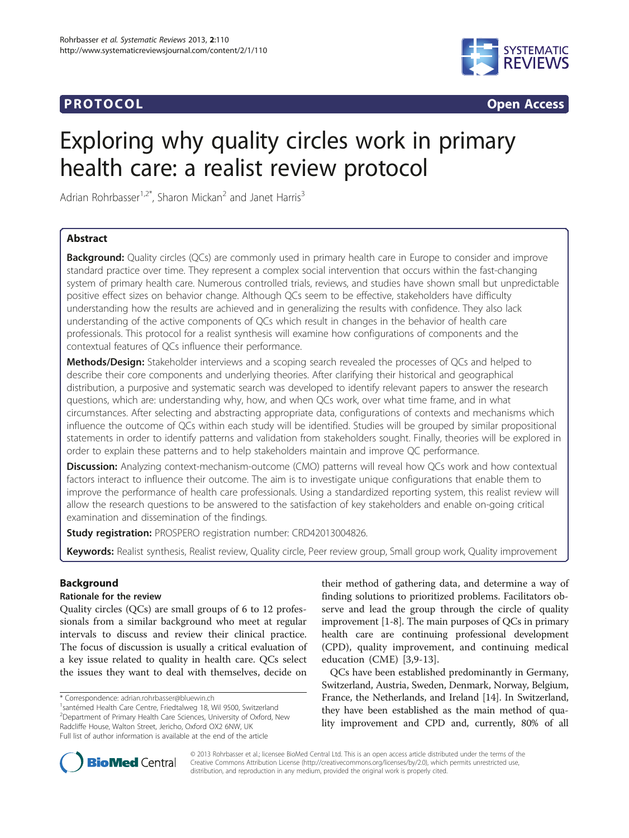# **PROTOCOL CONSUMING ACCESS CONSUMING ACCESS**



# Exploring why quality circles work in primary health care: a realist review protocol

Adrian Rohrbasser<sup>1,2\*</sup>, Sharon Mickan<sup>2</sup> and Janet Harris<sup>3</sup>

# Abstract

**Background:** Quality circles (QCs) are commonly used in primary health care in Europe to consider and improve standard practice over time. They represent a complex social intervention that occurs within the fast-changing system of primary health care. Numerous controlled trials, reviews, and studies have shown small but unpredictable positive effect sizes on behavior change. Although QCs seem to be effective, stakeholders have difficulty understanding how the results are achieved and in generalizing the results with confidence. They also lack understanding of the active components of QCs which result in changes in the behavior of health care professionals. This protocol for a realist synthesis will examine how configurations of components and the contextual features of QCs influence their performance.

Methods/Design: Stakeholder interviews and a scoping search revealed the processes of QCs and helped to describe their core components and underlying theories. After clarifying their historical and geographical distribution, a purposive and systematic search was developed to identify relevant papers to answer the research questions, which are: understanding why, how, and when QCs work, over what time frame, and in what circumstances. After selecting and abstracting appropriate data, configurations of contexts and mechanisms which influence the outcome of QCs within each study will be identified. Studies will be grouped by similar propositional statements in order to identify patterns and validation from stakeholders sought. Finally, theories will be explored in order to explain these patterns and to help stakeholders maintain and improve QC performance.

**Discussion:** Analyzing context-mechanism-outcome (CMO) patterns will reveal how QCs work and how contextual factors interact to influence their outcome. The aim is to investigate unique configurations that enable them to improve the performance of health care professionals. Using a standardized reporting system, this realist review will allow the research questions to be answered to the satisfaction of key stakeholders and enable on-going critical examination and dissemination of the findings.

Study registration: PROSPERO registration number: [CRD42013004826.](http://www.crd.york.ac.uk/PROSPERO/display_record.asp?ID=CRD42013004826)

Keywords: Realist synthesis, Realist review, Quality circle, Peer review group, Small group work, Quality improvement

# Background

# Rationale for the review

Quality circles (QCs) are small groups of 6 to 12 professionals from a similar background who meet at regular intervals to discuss and review their clinical practice. The focus of discussion is usually a critical evaluation of a key issue related to quality in health care. QCs select the issues they want to deal with themselves, decide on

\* Correspondence: [adrian.rohrbasser@bluewin.ch](mailto:adrian.rohrbasser@bluewin.ch) <sup>1</sup>

their method of gathering data, and determine a way of finding solutions to prioritized problems. Facilitators observe and lead the group through the circle of quality improvement [\[1](#page-5-0)-[8](#page-5-0)]. The main purposes of QCs in primary health care are continuing professional development (CPD), quality improvement, and continuing medical education (CME) [[3,9-13\]](#page-5-0).

QCs have been established predominantly in Germany, Switzerland, Austria, Sweden, Denmark, Norway, Belgium, France, the Netherlands, and Ireland [\[14\]](#page-5-0). In Switzerland, they have been established as the main method of quality improvement and CPD and, currently, 80% of all



© 2013 Rohrbasser et al.; licensee BioMed Central Ltd. This is an open access article distributed under the terms of the Creative Commons Attribution License (<http://creativecommons.org/licenses/by/2.0>), which permits unrestricted use, distribution, and reproduction in any medium, provided the original work is properly cited.

<sup>&</sup>lt;sup>1</sup>santémed Health Care Centre, Friedtalweg 18, Wil 9500, Switzerland 2 Department of Primary Health Care Sciences, University of Oxford, New Radcliffe House, Walton Street, Jericho, Oxford OX2 6NW, UK Full list of author information is available at the end of the article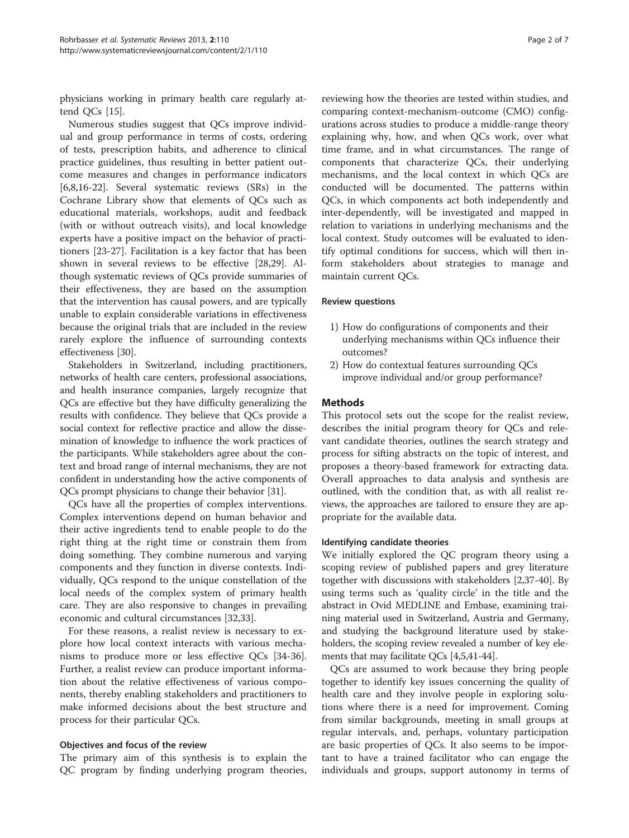physicians working in primary health care regularly attend QCs [\[15\]](#page-5-0).

Numerous studies suggest that QCs improve individual and group performance in terms of costs, ordering of tests, prescription habits, and adherence to clinical practice guidelines, thus resulting in better patient outcome measures and changes in performance indicators [[6,8,16-22](#page-5-0)]. Several systematic reviews (SRs) in the Cochrane Library show that elements of QCs such as educational materials, workshops, audit and feedback (with or without outreach visits), and local knowledge experts have a positive impact on the behavior of practitioners [[23](#page-5-0)-[27\]](#page-6-0). Facilitation is a key factor that has been shown in several reviews to be effective [[28](#page-6-0),[29](#page-6-0)]. Although systematic reviews of QCs provide summaries of their effectiveness, they are based on the assumption that the intervention has causal powers, and are typically unable to explain considerable variations in effectiveness because the original trials that are included in the review rarely explore the influence of surrounding contexts effectiveness [[30\]](#page-6-0).

Stakeholders in Switzerland, including practitioners, networks of health care centers, professional associations, and health insurance companies, largely recognize that QCs are effective but they have difficulty generalizing the results with confidence. They believe that QCs provide a social context for reflective practice and allow the dissemination of knowledge to influence the work practices of the participants. While stakeholders agree about the context and broad range of internal mechanisms, they are not confident in understanding how the active components of QCs prompt physicians to change their behavior [\[31\]](#page-6-0).

QCs have all the properties of complex interventions. Complex interventions depend on human behavior and their active ingredients tend to enable people to do the right thing at the right time or constrain them from doing something. They combine numerous and varying components and they function in diverse contexts. Individually, QCs respond to the unique constellation of the local needs of the complex system of primary health care. They are also responsive to changes in prevailing economic and cultural circumstances [[32](#page-6-0),[33](#page-6-0)].

For these reasons, a realist review is necessary to explore how local context interacts with various mechanisms to produce more or less effective QCs [\[34-36](#page-6-0)]. Further, a realist review can produce important information about the relative effectiveness of various components, thereby enabling stakeholders and practitioners to make informed decisions about the best structure and process for their particular QCs.

#### Objectives and focus of the review

The primary aim of this synthesis is to explain the QC program by finding underlying program theories,

reviewing how the theories are tested within studies, and comparing context-mechanism-outcome (CMO) configurations across studies to produce a middle-range theory explaining why, how, and when QCs work, over what time frame, and in what circumstances. The range of components that characterize QCs, their underlying mechanisms, and the local context in which QCs are conducted will be documented. The patterns within QCs, in which components act both independently and inter-dependently, will be investigated and mapped in relation to variations in underlying mechanisms and the local context. Study outcomes will be evaluated to identify optimal conditions for success, which will then inform stakeholders about strategies to manage and maintain current QCs.

#### Review questions

- 1) How do configurations of components and their underlying mechanisms within QCs influence their outcomes?
- 2) How do contextual features surrounding QCs improve individual and/or group performance?

#### **Methods**

This protocol sets out the scope for the realist review, describes the initial program theory for QCs and relevant candidate theories, outlines the search strategy and process for sifting abstracts on the topic of interest, and proposes a theory-based framework for extracting data. Overall approaches to data analysis and synthesis are outlined, with the condition that, as with all realist reviews, the approaches are tailored to ensure they are appropriate for the available data.

#### Identifying candidate theories

We initially explored the QC program theory using a scoping review of published papers and grey literature together with discussions with stakeholders [[2,](#page-5-0)[37-40\]](#page-6-0). By using terms such as 'quality circle' in the title and the abstract in Ovid MEDLINE and Embase, examining training material used in Switzerland, Austria and Germany, and studying the background literature used by stakeholders, the scoping review revealed a number of key elements that may facilitate QCs [\[4,5](#page-5-0)[,41-44\]](#page-6-0).

QCs are assumed to work because they bring people together to identify key issues concerning the quality of health care and they involve people in exploring solutions where there is a need for improvement. Coming from similar backgrounds, meeting in small groups at regular intervals, and, perhaps, voluntary participation are basic properties of QCs. It also seems to be important to have a trained facilitator who can engage the individuals and groups, support autonomy in terms of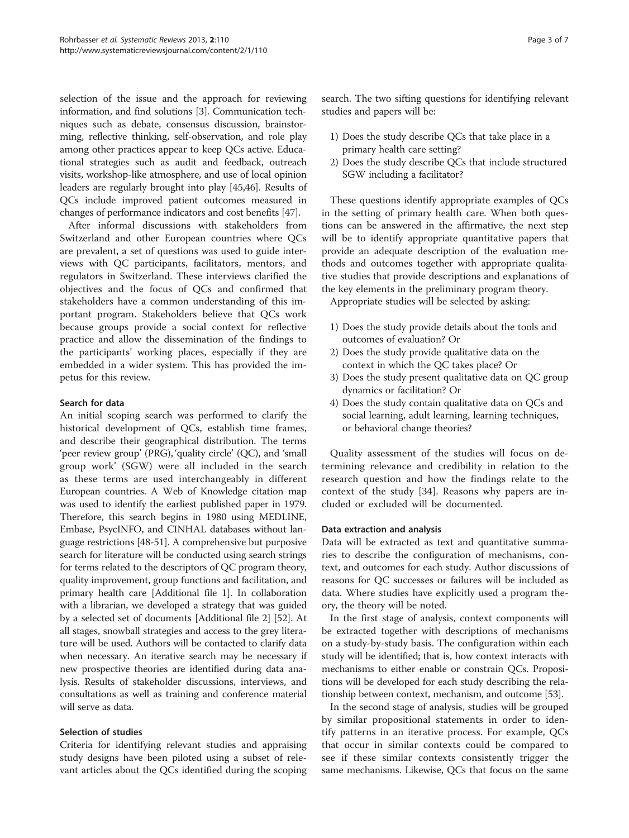selection of the issue and the approach for reviewing information, and find solutions [\[3](#page-5-0)]. Communication techniques such as debate, consensus discussion, brainstorming, reflective thinking, self-observation, and role play among other practices appear to keep QCs active. Educational strategies such as audit and feedback, outreach visits, workshop-like atmosphere, and use of local opinion leaders are regularly brought into play [\[45,46\]](#page-6-0). Results of QCs include improved patient outcomes measured in changes of performance indicators and cost benefits [[47](#page-6-0)].

After informal discussions with stakeholders from Switzerland and other European countries where QCs are prevalent, a set of questions was used to guide interviews with QC participants, facilitators, mentors, and regulators in Switzerland. These interviews clarified the objectives and the focus of QCs and confirmed that stakeholders have a common understanding of this important program. Stakeholders believe that QCs work because groups provide a social context for reflective practice and allow the dissemination of the findings to the participants' working places, especially if they are embedded in a wider system. This has provided the impetus for this review.

#### Search for data

An initial scoping search was performed to clarify the historical development of QCs, establish time frames, and describe their geographical distribution. The terms 'peer review group' (PRG), 'quality circle' (QC), and 'small group work' (SGW) were all included in the search as these terms are used interchangeably in different European countries. A Web of Knowledge citation map was used to identify the earliest published paper in 1979. Therefore, this search begins in 1980 using MEDLINE, Embase, PsycINFO, and CINHAL databases without language restrictions [[48](#page-6-0)-[51\]](#page-6-0). A comprehensive but purposive search for literature will be conducted using search strings for terms related to the descriptors of QC program theory, quality improvement, group functions and facilitation, and primary health care [Additional file [1](#page-5-0)]. In collaboration with a librarian, we developed a strategy that was guided by a selected set of documents [Additional file [2](#page-5-0)] [[52](#page-6-0)]. At all stages, snowball strategies and access to the grey literature will be used. Authors will be contacted to clarify data when necessary. An iterative search may be necessary if new prospective theories are identified during data analysis. Results of stakeholder discussions, interviews, and consultations as well as training and conference material will serve as data.

# Selection of studies

Criteria for identifying relevant studies and appraising study designs have been piloted using a subset of relevant articles about the QCs identified during the scoping search. The two sifting questions for identifying relevant studies and papers will be:

- 1) Does the study describe QCs that take place in a primary health care setting?
- 2) Does the study describe QCs that include structured SGW including a facilitator?

These questions identify appropriate examples of QCs in the setting of primary health care. When both questions can be answered in the affirmative, the next step will be to identify appropriate quantitative papers that provide an adequate description of the evaluation methods and outcomes together with appropriate qualitative studies that provide descriptions and explanations of the key elements in the preliminary program theory.

Appropriate studies will be selected by asking:

- 1) Does the study provide details about the tools and outcomes of evaluation? Or
- 2) Does the study provide qualitative data on the context in which the QC takes place? Or
- 3) Does the study present qualitative data on QC group dynamics or facilitation? Or
- 4) Does the study contain qualitative data on QCs and social learning, adult learning, learning techniques, or behavioral change theories?

Quality assessment of the studies will focus on determining relevance and credibility in relation to the research question and how the findings relate to the context of the study [[34\]](#page-6-0). Reasons why papers are included or excluded will be documented.

#### Data extraction and analysis

Data will be extracted as text and quantitative summaries to describe the configuration of mechanisms, context, and outcomes for each study. Author discussions of reasons for QC successes or failures will be included as data. Where studies have explicitly used a program theory, the theory will be noted.

In the first stage of analysis, context components will be extracted together with descriptions of mechanisms on a study-by-study basis. The configuration within each study will be identified; that is, how context interacts with mechanisms to either enable or constrain QCs. Propositions will be developed for each study describing the relationship between context, mechanism, and outcome [\[53\]](#page-6-0).

In the second stage of analysis, studies will be grouped by similar propositional statements in order to identify patterns in an iterative process. For example, QCs that occur in similar contexts could be compared to see if these similar contexts consistently trigger the same mechanisms. Likewise, QCs that focus on the same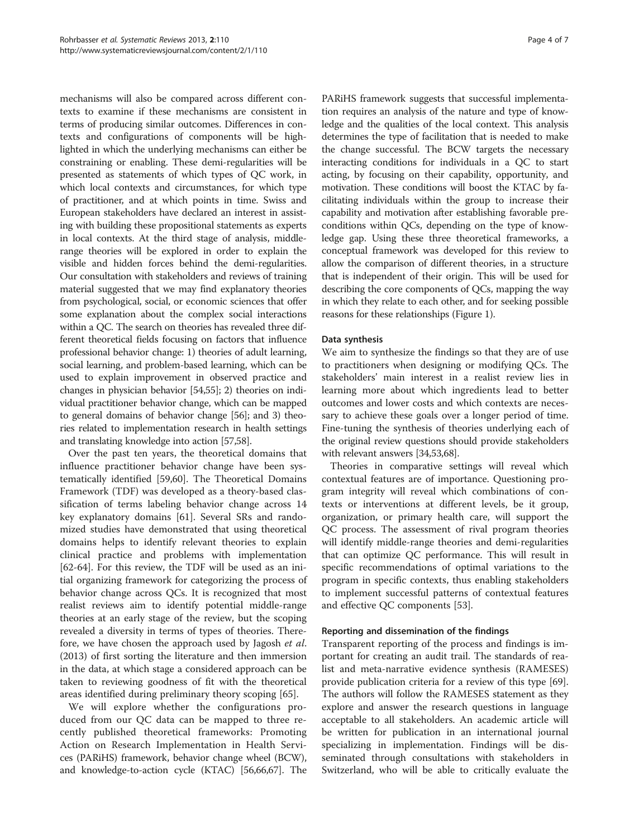mechanisms will also be compared across different contexts to examine if these mechanisms are consistent in terms of producing similar outcomes. Differences in contexts and configurations of components will be highlighted in which the underlying mechanisms can either be constraining or enabling. These demi-regularities will be presented as statements of which types of QC work, in which local contexts and circumstances, for which type of practitioner, and at which points in time. Swiss and European stakeholders have declared an interest in assisting with building these propositional statements as experts in local contexts. At the third stage of analysis, middlerange theories will be explored in order to explain the visible and hidden forces behind the demi-regularities. Our consultation with stakeholders and reviews of training material suggested that we may find explanatory theories from psychological, social, or economic sciences that offer some explanation about the complex social interactions within a QC. The search on theories has revealed three different theoretical fields focusing on factors that influence professional behavior change: 1) theories of adult learning, social learning, and problem-based learning, which can be used to explain improvement in observed practice and changes in physician behavior [\[54,55](#page-6-0)]; 2) theories on individual practitioner behavior change, which can be mapped to general domains of behavior change [[56](#page-6-0)]; and 3) theories related to implementation research in health settings and translating knowledge into action [\[57,58](#page-6-0)].

Over the past ten years, the theoretical domains that influence practitioner behavior change have been systematically identified [\[59,60](#page-6-0)]. The Theoretical Domains Framework (TDF) was developed as a theory-based classification of terms labeling behavior change across 14 key explanatory domains [\[61\]](#page-6-0). Several SRs and randomized studies have demonstrated that using theoretical domains helps to identify relevant theories to explain clinical practice and problems with implementation [[62-64](#page-6-0)]. For this review, the TDF will be used as an initial organizing framework for categorizing the process of behavior change across QCs. It is recognized that most realist reviews aim to identify potential middle-range theories at an early stage of the review, but the scoping revealed a diversity in terms of types of theories. Therefore, we have chosen the approach used by Jagosh *et al*. (2013) of first sorting the literature and then immersion in the data, at which stage a considered approach can be taken to reviewing goodness of fit with the theoretical areas identified during preliminary theory scoping [[65\]](#page-6-0).

We will explore whether the configurations produced from our QC data can be mapped to three recently published theoretical frameworks: Promoting Action on Research Implementation in Health Services (PARiHS) framework, behavior change wheel (BCW), and knowledge-to-action cycle (KTAC) [[56](#page-6-0),[66,67\]](#page-6-0). The

PARiHS framework suggests that successful implementation requires an analysis of the nature and type of knowledge and the qualities of the local context. This analysis determines the type of facilitation that is needed to make the change successful. The BCW targets the necessary interacting conditions for individuals in a QC to start acting, by focusing on their capability, opportunity, and motivation. These conditions will boost the KTAC by facilitating individuals within the group to increase their capability and motivation after establishing favorable preconditions within QCs, depending on the type of knowledge gap. Using these three theoretical frameworks, a conceptual framework was developed for this review to allow the comparison of different theories, in a structure that is independent of their origin. This will be used for describing the core components of QCs, mapping the way in which they relate to each other, and for seeking possible reasons for these relationships (Figure [1\)](#page-4-0).

# Data synthesis

We aim to synthesize the findings so that they are of use to practitioners when designing or modifying QCs. The stakeholders' main interest in a realist review lies in learning more about which ingredients lead to better outcomes and lower costs and which contexts are necessary to achieve these goals over a longer period of time. Fine-tuning the synthesis of theories underlying each of the original review questions should provide stakeholders with relevant answers [[34](#page-6-0),[53,68\]](#page-6-0).

Theories in comparative settings will reveal which contextual features are of importance. Questioning program integrity will reveal which combinations of contexts or interventions at different levels, be it group, organization, or primary health care, will support the QC process. The assessment of rival program theories will identify middle-range theories and demi-regularities that can optimize QC performance. This will result in specific recommendations of optimal variations to the program in specific contexts, thus enabling stakeholders to implement successful patterns of contextual features and effective QC components [[53\]](#page-6-0).

#### Reporting and dissemination of the findings

Transparent reporting of the process and findings is important for creating an audit trail. The standards of realist and meta-narrative evidence synthesis (RAMESES) provide publication criteria for a review of this type [\[69](#page-6-0)]. The authors will follow the RAMESES statement as they explore and answer the research questions in language acceptable to all stakeholders. An academic article will be written for publication in an international journal specializing in implementation. Findings will be disseminated through consultations with stakeholders in Switzerland, who will be able to critically evaluate the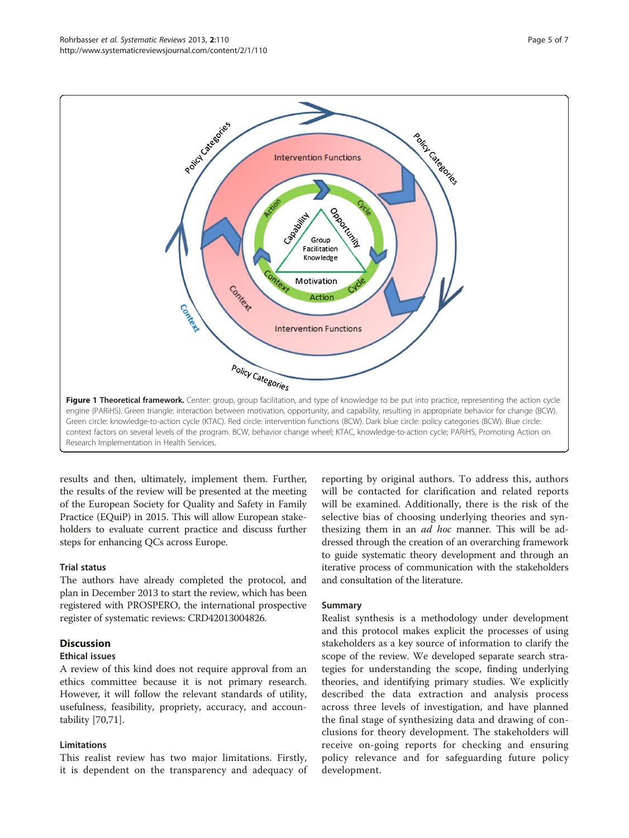<span id="page-4-0"></span>

results and then, ultimately, implement them. Further, the results of the review will be presented at the meeting of the European Society for Quality and Safety in Family Practice (EQuiP) in 2015. This will allow European stakeholders to evaluate current practice and discuss further steps for enhancing QCs across Europe.

#### Trial status

The authors have already completed the protocol, and plan in December 2013 to start the review, which has been registered with PROSPERO, the international prospective register of systematic reviews: CRD42013004826.

# **Discussion**

#### Ethical issues

A review of this kind does not require approval from an ethics committee because it is not primary research. However, it will follow the relevant standards of utility, usefulness, feasibility, propriety, accuracy, and accountability [[70,71](#page-6-0)].

#### Limitations

This realist review has two major limitations. Firstly, it is dependent on the transparency and adequacy of

reporting by original authors. To address this, authors will be contacted for clarification and related reports will be examined. Additionally, there is the risk of the selective bias of choosing underlying theories and synthesizing them in an *ad hoc* manner. This will be addressed through the creation of an overarching framework to guide systematic theory development and through an iterative process of communication with the stakeholders and consultation of the literature.

#### Summary

Realist synthesis is a methodology under development and this protocol makes explicit the processes of using stakeholders as a key source of information to clarify the scope of the review. We developed separate search strategies for understanding the scope, finding underlying theories, and identifying primary studies. We explicitly described the data extraction and analysis process across three levels of investigation, and have planned the final stage of synthesizing data and drawing of conclusions for theory development. The stakeholders will receive on-going reports for checking and ensuring policy relevance and for safeguarding future policy development.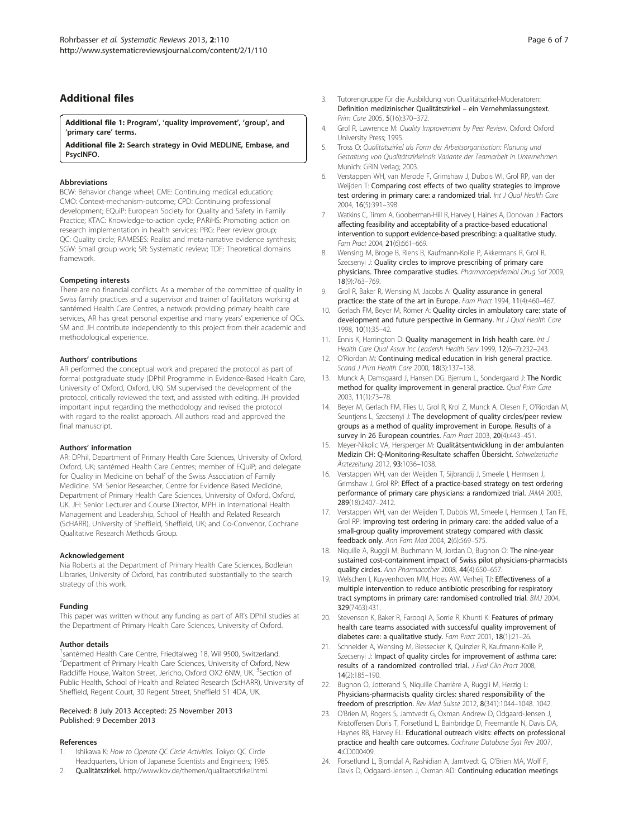# <span id="page-5-0"></span>Additional files

[Additional file 1:](http://www.biomedcentral.com/content/supplementary/2046-4053-2-110-S1.docx) Program', 'quality improvement', 'group', and 'primary care' terms.

[Additional file 2:](http://www.biomedcentral.com/content/supplementary/2046-4053-2-110-S2.docx) Search strategy in Ovid MEDLINE, Embase, and PsycINFO.

#### Abbreviations

BCW: Behavior change wheel; CME: Continuing medical education; CMO: Context-mechanism-outcome; CPD: Continuing professional development; EQuiP: European Society for Quality and Safety in Family Practice; KTAC: Knowledge-to-action cycle; PARiHS: Promoting action on research implementation in health services; PRG: Peer review group; QC: Quality circle; RAMESES: Realist and meta-narrative evidence synthesis; SGW: Small group work; SR: Systematic review; TDF: Theoretical domains framework.

#### Competing interests

There are no financial conflicts. As a member of the committee of quality in Swiss family practices and a supervisor and trainer of facilitators working at santémed Health Care Centres, a network providing primary health care services, AR has great personal expertise and many years' experience of QCs. SM and JH contribute independently to this project from their academic and methodological experience.

#### Authors' contributions

AR performed the conceptual work and prepared the protocol as part of formal postgraduate study (DPhil Programme in Evidence-Based Health Care, University of Oxford, Oxford, UK). SM supervised the development of the protocol, critically reviewed the text, and assisted with editing. JH provided important input regarding the methodology and revised the protocol with regard to the realist approach. All authors read and approved the final manuscript.

#### Authors' information

AR: DPhil, Department of Primary Health Care Sciences, University of Oxford, Oxford, UK; santémed Health Care Centres; member of EQuiP; and delegate for Quality in Medicine on behalf of the Swiss Association of Family Medicine. SM: Senior Researcher, Centre for Evidence Based Medicine, Department of Primary Health Care Sciences, University of Oxford, Oxford, UK. JH: Senior Lecturer and Course Director, MPH in International Health Management and Leadership, School of Health and Related Research (ScHARR), University of Sheffield, Sheffield, UK; and Co-Convenor, Cochrane Qualitative Research Methods Group.

#### Acknowledgement

Nia Roberts at the Department of Primary Health Care Sciences, Bodleian Libraries, University of Oxford, has contributed substantially to the search strategy of this work.

#### Funding

This paper was written without any funding as part of AR's DPhil studies at the Department of Primary Health Care Sciences, University of Oxford.

#### Author details

<sup>1</sup>santémed Health Care Centre, Friedtalweg 18, Wil 9500, Switzerland. 2 Department of Primary Health Care Sciences, University of Oxford, New Radcliffe House, Walton Street, Jericho, Oxford OX2 6NW, UK. <sup>3</sup>Section of Public Health, School of Health and Related Research (ScHARR), University of Sheffield, Regent Court, 30 Regent Street, Sheffield S1 4DA, UK.

#### Received: 8 July 2013 Accepted: 25 November 2013 Published: 9 December 2013

#### References

- Ishikawa K: How to Operate QC Circle Activities. Tokyo: QC Circle Headquarters, Union of Japanese Scientists and Engineers; 1985.
- 2. Qualitätszirkel. <http://www.kbv.de/themen/qualitaetszirkel.html>.
- 3. Tutorengruppe für die Ausbildung von Qualitätszirkel-Moderatoren: Definition medizinischer Qualitätszirkel – ein Vernehmlassungstext. Prim Care 2005, 5(16):370–372.
- 4. Grol R, Lawrence M: Quality Improvement by Peer Review. Oxford: Oxford University Press; 1995.
- 5. Tross O: Qualitätszirkel als Form der Arbeitsorganisation: Planung und Gestaltung von Qualitätszirkelnals Variante der Teamarbeit in Unternehmen. Munich: GRIN Verlag; 2003.
- 6. Verstappen WH, van Merode F, Grimshaw J, Dubois WI, Grol RP, van der Weijden T: Comparing cost effects of two quality strategies to improve test ordering in primary care: a randomized trial. Int J Qual Health Care 2004, 16(5):391–398.
- 7. Watkins C, Timm A, Gooberman-Hill R, Harvey I, Haines A, Donovan J: Factors affecting feasibility and acceptability of a practice-based educational intervention to support evidence-based prescribing: a qualitative study. Fam Pract 2004, 21(6):661–669.
- 8. Wensing M, Broge B, Riens B, Kaufmann-Kolle P, Akkermans R, Grol R, Szecsenyi J: Quality circles to improve prescribing of primary care physicians. Three comparative studies. Pharmacoepidemiol Drug Saf 2009, 18(9):763–769.
- 9. Grol R, Baker R, Wensing M, Jacobs A: Quality assurance in general practice: the state of the art in Europe. Fam Pract 1994, 11(4):460-467.
- 10. Gerlach FM, Beyer M, Römer A: Quality circles in ambulatory care: state of development and future perspective in Germany. Int J Qual Health Care 1998, 10(1):35–42.
- 11. Ennis K, Harrington D: Quality management in Irish health care. Int J Health Care Qual Assur Inc Leadersh Health Serv 1999, 12(6–7):232–243.
- 12. O'Riordan M: Continuing medical education in Irish general practice. Scand J Prim Health Care 2000, 18(3):137–138.
- 13. Munck A, Damsgaard J, Hansen DG, Bjerrum L, Sondergaard J: The Nordic method for quality improvement in general practice. Qual Prim Care 2003, 11(1):73–78.
- 14. Beyer M, Gerlach FM, Flies U, Grol R, Krol Z, Munck A, Olesen F, O'Riordan M, Seuntjens L, Szecsenyi J: The development of quality circles/peer review groups as a method of quality improvement in Europe. Results of a survey in 26 European countries. Fam Pract 2003, 20(4):443-451.
- 15. Meyer-Nikolic VA, Hersperger M: Qualitätsentwicklung in der ambulanten Medizin CH: Q-Monitoring-Resultate schaffen Übersicht. Schweizerische Ärztezeitung 2012, 93:1036–1038.
- 16. Verstappen WH, van der Weijden T, Sijbrandij J, Smeele I, Hermsen J, Grimshaw J, Grol RP: Effect of a practice-based strategy on test ordering performance of primary care physicians: a randomized trial. JAMA 2003, 289(18):2407–2412.
- 17. Verstappen WH, van der Weijden T, Dubois WI, Smeele I, Hermsen J, Tan FE, Grol RP: Improving test ordering in primary care: the added value of a small-group quality improvement strategy compared with classic feedback only. Ann Fam Med 2004, 2(6):569–575.
- 18. Niquille A, Ruggli M, Buchmann M, Jordan D, Bugnon O: The nine-year sustained cost-containment impact of Swiss pilot physicians-pharmacists quality circles. Ann Pharmacother 2008, 44(4):650–657.
- 19. Welschen I, Kuyvenhoven MM, Hoes AW, Verheij TJ: Effectiveness of a multiple intervention to reduce antibiotic prescribing for respiratory tract symptoms in primary care: randomised controlled trial. BMJ 2004, 329(7463):431.
- 20. Stevenson K, Baker R, Farooqi A, Sorrie R, Khunti K: Features of primary health care teams associated with successful quality improvement of diabetes care: a qualitative study. Fam Pract 2001, 18(1):21–26.
- 21. Schneider A, Wensing M, Biessecker K, Quinzler R, Kaufmann-Kolle P, Szecsenyi J: Impact of quality circles for improvement of asthma care: results of a randomized controlled trial. J Eval Clin Pract 2008, 14(2):185–190.
- 22. Bugnon O, Jotterand S, Niquille Charrière A, Ruggli M, Herzig L: Physicians-pharmacists quality circles: shared responsibility of the freedom of prescription. Rev Med Suisse 2012, 8(341):1044–1048. 1042.
- 23. O'Brien M, Rogers S, Jamtvedt G, Oxman Andrew D, Odgaard-Jensen J, Kristoffersen Doris T, Forsetlund L, Bainbridge D, Freemantle N, Davis DA, Haynes RB, Harvey EL: Educational outreach visits: effects on professional practice and health care outcomes. Cochrane Database Syst Rev 2007, 4:CD000409.
- 24. Forsetlund L, Bjorndal A, Rashidian A, Jamtvedt G, O'Brien MA, Wolf F, Davis D, Odgaard-Jensen J, Oxman AD: Continuing education meetings